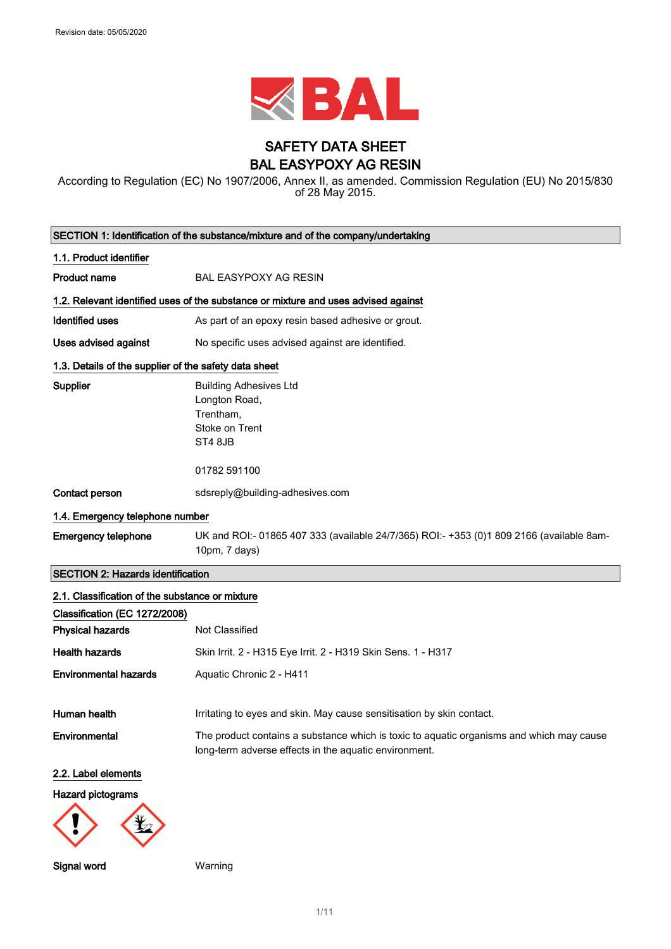

# SAFETY DATA SHEET BAL EASYPOXY AG RESIN

According to Regulation (EC) No 1907/2006, Annex II, as amended. Commission Regulation (EU) No 2015/830 of 28 May 2015.

|                                                       | SECTION 1: Identification of the substance/mixture and of the company/undertaking                                                                 |  |
|-------------------------------------------------------|---------------------------------------------------------------------------------------------------------------------------------------------------|--|
| 1.1. Product identifier                               |                                                                                                                                                   |  |
| <b>Product name</b>                                   | <b>BAL EASYPOXY AG RESIN</b>                                                                                                                      |  |
|                                                       | 1.2. Relevant identified uses of the substance or mixture and uses advised against                                                                |  |
| <b>Identified uses</b>                                | As part of an epoxy resin based adhesive or grout.                                                                                                |  |
| <b>Uses advised against</b>                           | No specific uses advised against are identified.                                                                                                  |  |
| 1.3. Details of the supplier of the safety data sheet |                                                                                                                                                   |  |
| <b>Supplier</b>                                       | <b>Building Adhesives Ltd</b><br>Longton Road,<br>Trentham,<br>Stoke on Trent<br>ST4 8JB<br>01782 591100                                          |  |
| Contact person                                        | sdsreply@building-adhesives.com                                                                                                                   |  |
| 1.4. Emergency telephone number                       |                                                                                                                                                   |  |
| <b>Emergency telephone</b>                            | UK and ROI:- 01865 407 333 (available 24/7/365) ROI:- +353 (0)1 809 2166 (available 8am-<br>10pm, 7 days)                                         |  |
| <b>SECTION 2: Hazards identification</b>              |                                                                                                                                                   |  |
| 2.1. Classification of the substance or mixture       |                                                                                                                                                   |  |
| Classification (EC 1272/2008)                         |                                                                                                                                                   |  |
| <b>Physical hazards</b>                               | Not Classified                                                                                                                                    |  |
| <b>Health hazards</b>                                 | Skin Irrit. 2 - H315 Eye Irrit. 2 - H319 Skin Sens. 1 - H317                                                                                      |  |
| <b>Environmental hazards</b>                          | Aquatic Chronic 2 - H411                                                                                                                          |  |
| Human health                                          | Irritating to eyes and skin. May cause sensitisation by skin contact.                                                                             |  |
| Environmental                                         | The product contains a substance which is toxic to aquatic organisms and which may cause<br>long-term adverse effects in the aquatic environment. |  |
| 2.2. Label elements                                   |                                                                                                                                                   |  |
| <b>Hazard pictograms</b>                              |                                                                                                                                                   |  |
|                                                       |                                                                                                                                                   |  |

Signal word Warning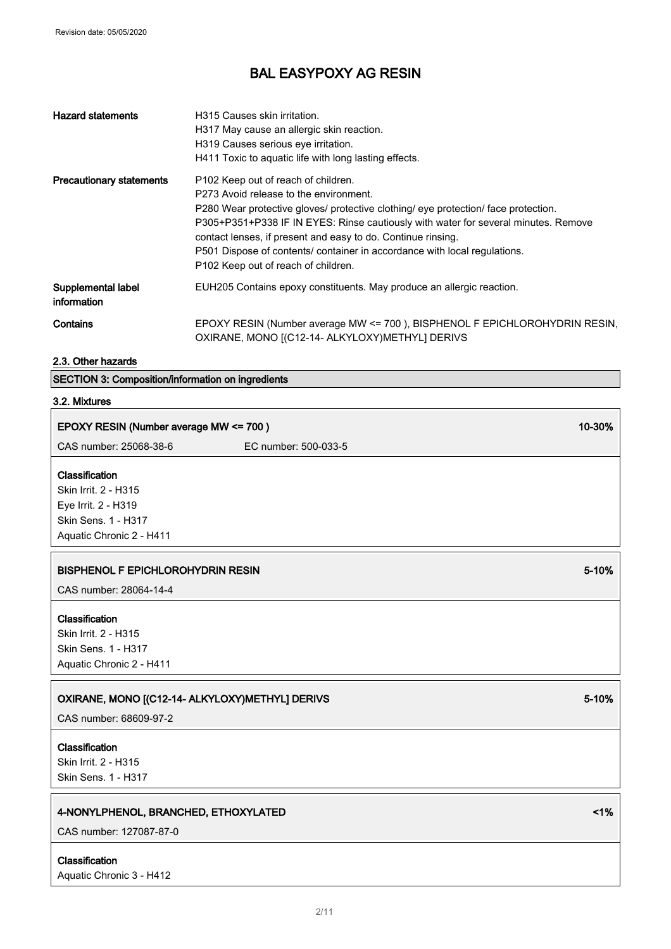| <b>Hazard statements</b>          | H315 Causes skin irritation.<br>H317 May cause an allergic skin reaction.<br>H319 Causes serious eye irritation.<br>H411 Toxic to aguatic life with long lasting effects.                                                                                                                                                                                                                                                                     |
|-----------------------------------|-----------------------------------------------------------------------------------------------------------------------------------------------------------------------------------------------------------------------------------------------------------------------------------------------------------------------------------------------------------------------------------------------------------------------------------------------|
| <b>Precautionary statements</b>   | P102 Keep out of reach of children.<br>P273 Avoid release to the environment.<br>P280 Wear protective gloves/ protective clothing/ eye protection/ face protection.<br>P305+P351+P338 IF IN EYES: Rinse cautiously with water for several minutes. Remove<br>contact lenses, if present and easy to do. Continue rinsing.<br>P501 Dispose of contents/ container in accordance with local regulations.<br>P102 Keep out of reach of children. |
| Supplemental label<br>information | EUH205 Contains epoxy constituents. May produce an allergic reaction.                                                                                                                                                                                                                                                                                                                                                                         |
| Contains                          | EPOXY RESIN (Number average MW <= 700), BISPHENOL F EPICHLOROHYDRIN RESIN,<br>OXIRANE, MONO [(C12-14- ALKYLOXY)METHYL] DERIVS                                                                                                                                                                                                                                                                                                                 |

┑

2.3. Other hazards

SECTION 3: Composition/information on ingredients

# 3.2. Mixtures

| EPOXY RESIN (Number average MW <= 700)                                                                           |                      | 10-30% |
|------------------------------------------------------------------------------------------------------------------|----------------------|--------|
| CAS number: 25068-38-6                                                                                           | EC number: 500-033-5 |        |
| Classification<br>Skin Irrit. 2 - H315<br>Eye Irrit. 2 - H319<br>Skin Sens. 1 - H317<br>Aquatic Chronic 2 - H411 |                      |        |
| <b>BISPHENOL F EPICHLOROHYDRIN RESIN</b>                                                                         |                      | 5-10%  |
| CAS number: 28064-14-4                                                                                           |                      |        |
| Classification<br>Skin Irrit. 2 - H315<br>Skin Sens. 1 - H317<br>Aquatic Chronic 2 - H411                        |                      |        |
| OXIRANE, MONO [(C12-14- ALKYLOXY)METHYL] DERIVS<br>CAS number: 68609-97-2                                        |                      | 5-10%  |
| Classification<br>Skin Irrit. 2 - H315<br>Skin Sens. 1 - H317                                                    |                      |        |
| 4-NONYLPHENOL, BRANCHED, ETHOXYLATED<br>CAS number: 127087-87-0                                                  |                      | 1%     |

Classification

Aquatic Chronic 3 - H412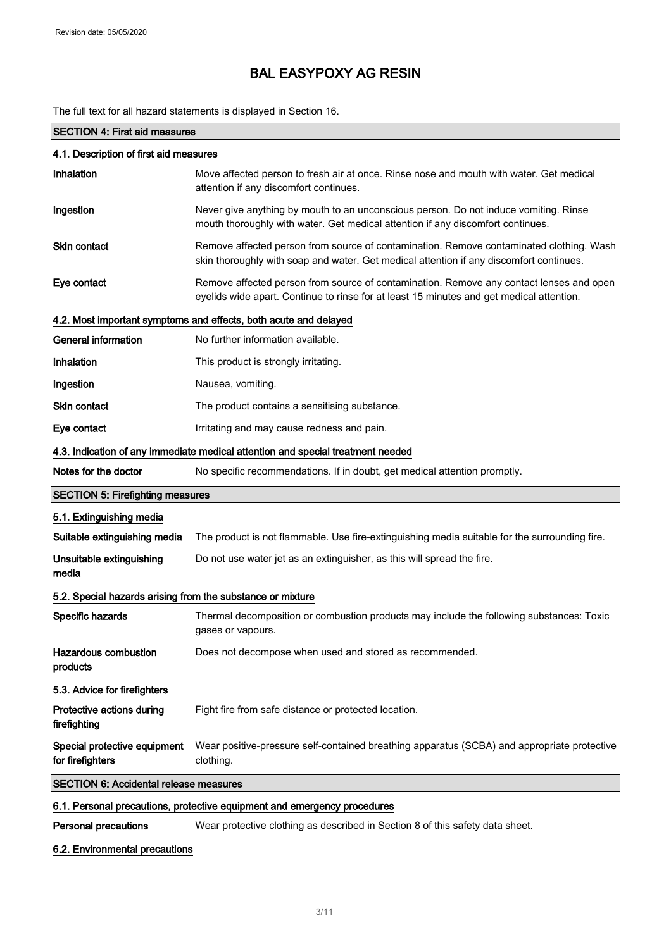The full text for all hazard statements is displayed in Section 16.

# SECTION 4: First aid measures

| 4.1. Description of first aid measures                     |                                                                                                                                                                                     |  |
|------------------------------------------------------------|-------------------------------------------------------------------------------------------------------------------------------------------------------------------------------------|--|
| Inhalation                                                 | Move affected person to fresh air at once. Rinse nose and mouth with water. Get medical<br>attention if any discomfort continues.                                                   |  |
| Ingestion                                                  | Never give anything by mouth to an unconscious person. Do not induce vomiting. Rinse<br>mouth thoroughly with water. Get medical attention if any discomfort continues.             |  |
| <b>Skin contact</b>                                        | Remove affected person from source of contamination. Remove contaminated clothing. Wash<br>skin thoroughly with soap and water. Get medical attention if any discomfort continues.  |  |
| Eye contact                                                | Remove affected person from source of contamination. Remove any contact lenses and open<br>eyelids wide apart. Continue to rinse for at least 15 minutes and get medical attention. |  |
|                                                            | 4.2. Most important symptoms and effects, both acute and delayed                                                                                                                    |  |
| <b>General information</b>                                 | No further information available.                                                                                                                                                   |  |
| Inhalation                                                 | This product is strongly irritating.                                                                                                                                                |  |
| Ingestion                                                  | Nausea, vomiting.                                                                                                                                                                   |  |
| <b>Skin contact</b>                                        | The product contains a sensitising substance.                                                                                                                                       |  |
| Eye contact                                                | Irritating and may cause redness and pain.                                                                                                                                          |  |
|                                                            | 4.3. Indication of any immediate medical attention and special treatment needed                                                                                                     |  |
| Notes for the doctor                                       | No specific recommendations. If in doubt, get medical attention promptly.                                                                                                           |  |
| <b>SECTION 5: Firefighting measures</b>                    |                                                                                                                                                                                     |  |
| 5.1. Extinguishing media                                   |                                                                                                                                                                                     |  |
| Suitable extinguishing media                               | The product is not flammable. Use fire-extinguishing media suitable for the surrounding fire.                                                                                       |  |
| Unsuitable extinguishing<br>media                          | Do not use water jet as an extinguisher, as this will spread the fire.                                                                                                              |  |
| 5.2. Special hazards arising from the substance or mixture |                                                                                                                                                                                     |  |
| Specific hazards                                           | Thermal decomposition or combustion products may include the following substances: Toxic<br>gases or vapours.                                                                       |  |
| <b>Hazardous combustion</b><br>products                    | Does not decompose when used and stored as recommended.                                                                                                                             |  |
| 5.3. Advice for firefighters                               |                                                                                                                                                                                     |  |
| Protective actions during<br>firefighting                  | Fight fire from safe distance or protected location.                                                                                                                                |  |
| Special protective equipment<br>for firefighters           | Wear positive-pressure self-contained breathing apparatus (SCBA) and appropriate protective<br>clothing.                                                                            |  |
| <b>SECTION 6: Accidental release measures</b>              |                                                                                                                                                                                     |  |
|                                                            |                                                                                                                                                                                     |  |

## 6.1. Personal precautions, protective equipment and emergency procedures

Personal precautions Wear protective clothing as described in Section 8 of this safety data sheet.

### 6.2. Environmental precautions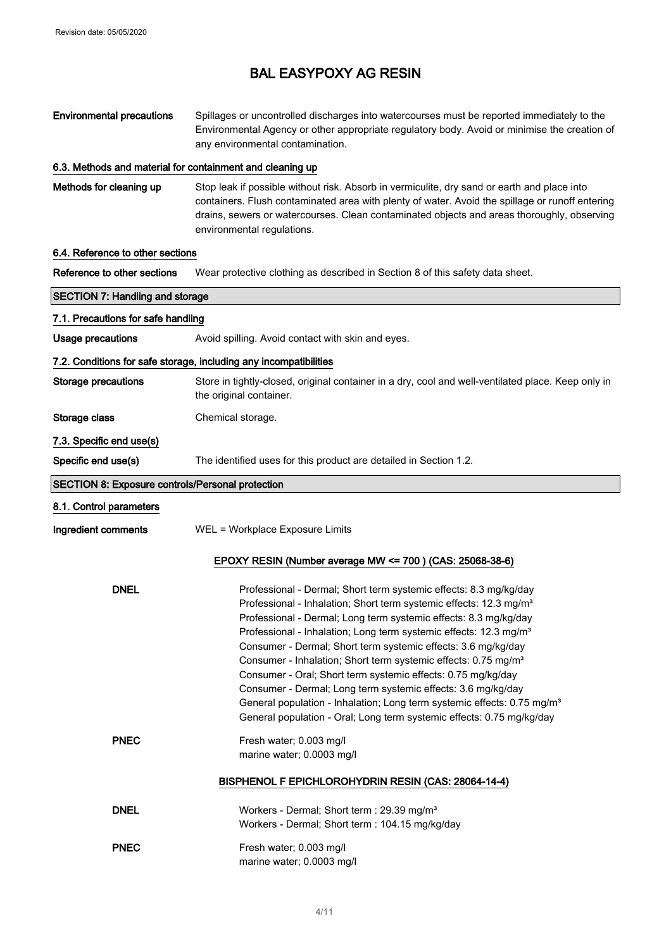### Environmental precautions Spillages or uncontrolled discharges into watercourses must be reported immediately to the Environmental Agency or other appropriate regulatory body. Avoid or minimise the creation of any environmental contamination.

#### 6.3. Methods and material for containment and cleaning up

Methods for cleaning up Stop leak if possible without risk. Absorb in vermiculite, dry sand or earth and place into containers. Flush contaminated area with plenty of water. Avoid the spillage or runoff entering drains, sewers or watercourses. Clean contaminated objects and areas thoroughly, observing environmental regulations.

#### 6.4. Reference to other sections

Reference to other sections Wear protective clothing as described in Section 8 of this safety data sheet.

| <b>SECTION 7: Handling and storage</b>           |                                                                                                                                                                                                                                                                                                                                                                                                                                                                                                                                                                                                                                                                                                                                                         |  |
|--------------------------------------------------|---------------------------------------------------------------------------------------------------------------------------------------------------------------------------------------------------------------------------------------------------------------------------------------------------------------------------------------------------------------------------------------------------------------------------------------------------------------------------------------------------------------------------------------------------------------------------------------------------------------------------------------------------------------------------------------------------------------------------------------------------------|--|
| 7.1. Precautions for safe handling               |                                                                                                                                                                                                                                                                                                                                                                                                                                                                                                                                                                                                                                                                                                                                                         |  |
| Usage precautions                                | Avoid spilling. Avoid contact with skin and eyes.                                                                                                                                                                                                                                                                                                                                                                                                                                                                                                                                                                                                                                                                                                       |  |
|                                                  | 7.2. Conditions for safe storage, including any incompatibilities                                                                                                                                                                                                                                                                                                                                                                                                                                                                                                                                                                                                                                                                                       |  |
| <b>Storage precautions</b>                       | Store in tightly-closed, original container in a dry, cool and well-ventilated place. Keep only in<br>the original container.                                                                                                                                                                                                                                                                                                                                                                                                                                                                                                                                                                                                                           |  |
| Storage class                                    | Chemical storage.                                                                                                                                                                                                                                                                                                                                                                                                                                                                                                                                                                                                                                                                                                                                       |  |
| 7.3. Specific end use(s)                         |                                                                                                                                                                                                                                                                                                                                                                                                                                                                                                                                                                                                                                                                                                                                                         |  |
| Specific end use(s)                              | The identified uses for this product are detailed in Section 1.2.                                                                                                                                                                                                                                                                                                                                                                                                                                                                                                                                                                                                                                                                                       |  |
| SECTION 8: Exposure controls/Personal protection |                                                                                                                                                                                                                                                                                                                                                                                                                                                                                                                                                                                                                                                                                                                                                         |  |
| 8.1. Control parameters                          |                                                                                                                                                                                                                                                                                                                                                                                                                                                                                                                                                                                                                                                                                                                                                         |  |
| Ingredient comments                              | WEL = Workplace Exposure Limits                                                                                                                                                                                                                                                                                                                                                                                                                                                                                                                                                                                                                                                                                                                         |  |
|                                                  | EPOXY RESIN (Number average MW <= 700) (CAS: 25068-38-6)                                                                                                                                                                                                                                                                                                                                                                                                                                                                                                                                                                                                                                                                                                |  |
| <b>DNEL</b>                                      | Professional - Dermal; Short term systemic effects: 8.3 mg/kg/day<br>Professional - Inhalation; Short term systemic effects: 12.3 mg/m <sup>3</sup><br>Professional - Dermal; Long term systemic effects: 8.3 mg/kg/day<br>Professional - Inhalation; Long term systemic effects: 12.3 mg/m <sup>3</sup><br>Consumer - Dermal; Short term systemic effects: 3.6 mg/kg/day<br>Consumer - Inhalation; Short term systemic effects: 0.75 mg/m <sup>3</sup><br>Consumer - Oral; Short term systemic effects: 0.75 mg/kg/day<br>Consumer - Dermal; Long term systemic effects: 3.6 mg/kg/day<br>General population - Inhalation; Long term systemic effects: 0.75 mg/m <sup>3</sup><br>General population - Oral; Long term systemic effects: 0.75 mg/kg/day |  |
| <b>PNEC</b>                                      | Fresh water; 0.003 mg/l<br>marine water; 0.0003 mg/l                                                                                                                                                                                                                                                                                                                                                                                                                                                                                                                                                                                                                                                                                                    |  |
|                                                  | BISPHENOL F EPICHLOROHYDRIN RESIN (CAS: 28064-14-4)                                                                                                                                                                                                                                                                                                                                                                                                                                                                                                                                                                                                                                                                                                     |  |
| <b>DNEL</b>                                      | Workers - Dermal; Short term : 29.39 mg/m <sup>3</sup><br>Workers - Dermal; Short term : 104.15 mg/kg/day                                                                                                                                                                                                                                                                                                                                                                                                                                                                                                                                                                                                                                               |  |
| <b>PNEC</b>                                      | Fresh water; 0.003 mg/l<br>marine water; 0.0003 mg/l                                                                                                                                                                                                                                                                                                                                                                                                                                                                                                                                                                                                                                                                                                    |  |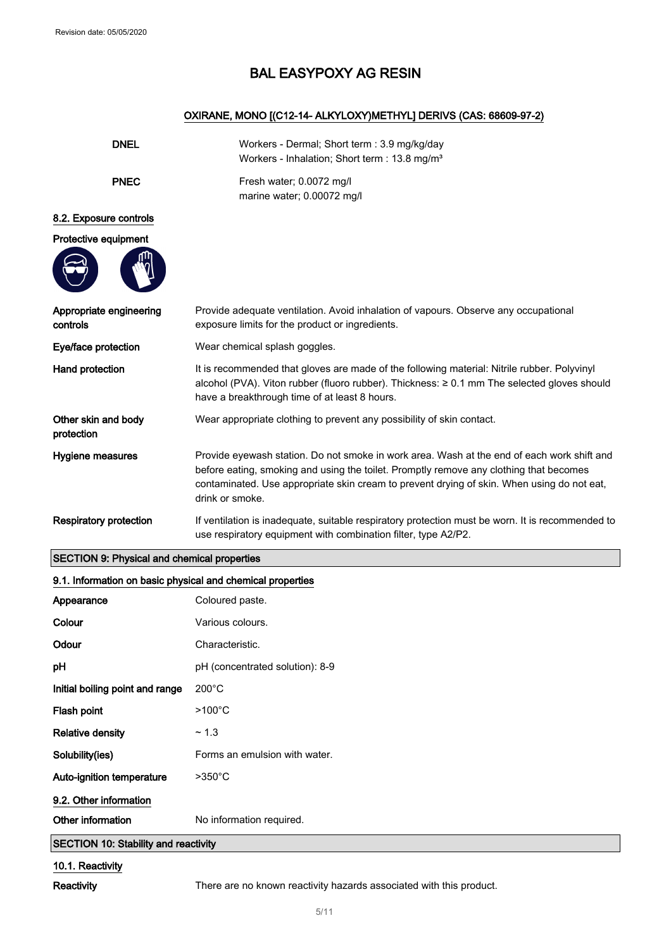## OXIRANE, MONO [(C12-14- ALKYLOXY)METHYL] DERIVS (CAS: 68609-97-2)

| <b>DNEL</b>                         | Workers - Dermal; Short term : 3.9 mg/kg/day<br>Workers - Inhalation; Short term : 13.8 mg/m <sup>3</sup>                                                                                                                                                                                             |  |
|-------------------------------------|-------------------------------------------------------------------------------------------------------------------------------------------------------------------------------------------------------------------------------------------------------------------------------------------------------|--|
| <b>PNEC</b>                         | Fresh water; 0.0072 mg/l<br>marine water; 0.00072 mg/l                                                                                                                                                                                                                                                |  |
| 8.2. Exposure controls              |                                                                                                                                                                                                                                                                                                       |  |
| Protective equipment                |                                                                                                                                                                                                                                                                                                       |  |
| Appropriate engineering<br>controls | Provide adequate ventilation. Avoid inhalation of vapours. Observe any occupational<br>exposure limits for the product or ingredients.                                                                                                                                                                |  |
| Eye/face protection                 | Wear chemical splash goggles.                                                                                                                                                                                                                                                                         |  |
| Hand protection                     | It is recommended that gloves are made of the following material: Nitrile rubber. Polyvinyl<br>alcohol (PVA). Viton rubber (fluoro rubber). Thickness: ≥ 0.1 mm The selected gloves should<br>have a breakthrough time of at least 8 hours.                                                           |  |
| Other skin and body<br>protection   | Wear appropriate clothing to prevent any possibility of skin contact.                                                                                                                                                                                                                                 |  |
| <b>Hygiene measures</b>             | Provide eyewash station. Do not smoke in work area. Wash at the end of each work shift and<br>before eating, smoking and using the toilet. Promptly remove any clothing that becomes<br>contaminated. Use appropriate skin cream to prevent drying of skin. When using do not eat,<br>drink or smoke. |  |
| <b>Respiratory protection</b>       | If ventilation is inadequate, suitable respiratory protection must be worn. It is recommended to<br>use respiratory equipment with combination filter, type A2/P2.                                                                                                                                    |  |

# SECTION 9: Physical and chemical properties

| 9.1. Information on basic physical and chemical properties |                                 |  |
|------------------------------------------------------------|---------------------------------|--|
| Appearance                                                 | Coloured paste.                 |  |
| Colour                                                     | Various colours.                |  |
| Odour                                                      | Characteristic.                 |  |
| рH                                                         | pH (concentrated solution): 8-9 |  |
| Initial boiling point and range                            | $200^{\circ}$ C                 |  |
| Flash point                                                | $>100^{\circ}$ C                |  |
| <b>Relative density</b>                                    | ~1.3                            |  |
| Solubility(ies)                                            | Forms an emulsion with water.   |  |
| Auto-ignition temperature                                  | $>350^{\circ}$ C                |  |
| 9.2. Other information                                     |                                 |  |
| Other information                                          | No information required.        |  |
| <b>SECTION 10: Stability and reactivity</b>                |                                 |  |
| $40.4$ Decation                                            |                                 |  |

#### 10.1. Reactivity

Reactivity There are no known reactivity hazards associated with this product.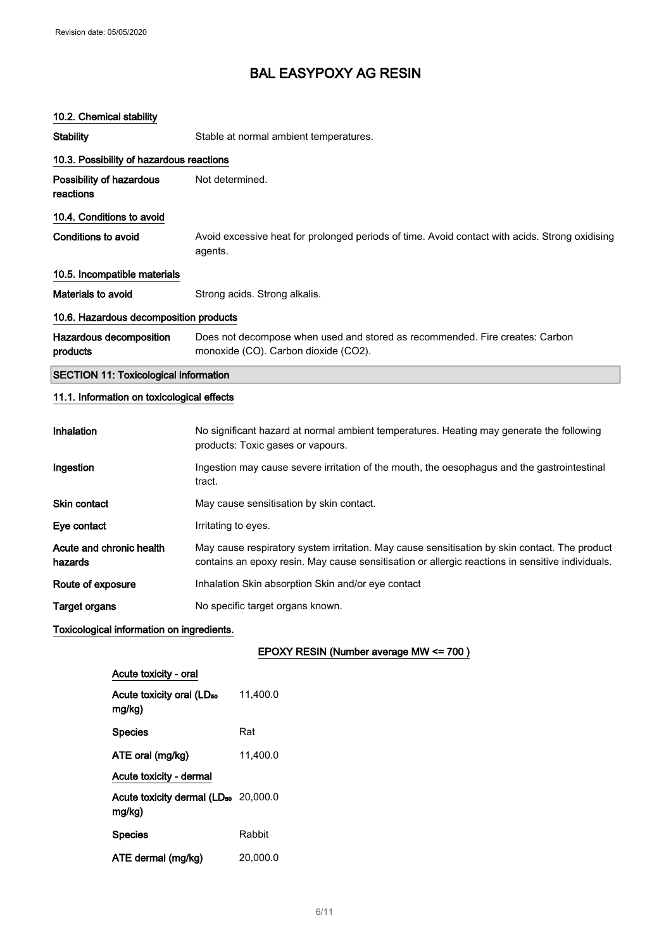# 10.2. Chemical stability

| <b>Stability</b>                             | Stable at normal ambient temperatures.                                                                                                                                                            |
|----------------------------------------------|---------------------------------------------------------------------------------------------------------------------------------------------------------------------------------------------------|
| 10.3. Possibility of hazardous reactions     |                                                                                                                                                                                                   |
| Possibility of hazardous<br>reactions        | Not determined.                                                                                                                                                                                   |
| 10.4. Conditions to avoid                    |                                                                                                                                                                                                   |
| <b>Conditions to avoid</b>                   | Avoid excessive heat for prolonged periods of time. Avoid contact with acids. Strong oxidising<br>agents.                                                                                         |
| 10.5. Incompatible materials                 |                                                                                                                                                                                                   |
| Materials to avoid                           | Strong acids. Strong alkalis.                                                                                                                                                                     |
| 10.6. Hazardous decomposition products       |                                                                                                                                                                                                   |
| Hazardous decomposition<br>products          | Does not decompose when used and stored as recommended. Fire creates: Carbon<br>monoxide (CO). Carbon dioxide (CO2).                                                                              |
| <b>SECTION 11: Toxicological information</b> |                                                                                                                                                                                                   |
| 11.1. Information on toxicological effects   |                                                                                                                                                                                                   |
| Inhalation                                   | No significant hazard at normal ambient temperatures. Heating may generate the following<br>products: Toxic gases or vapours.                                                                     |
| Ingestion                                    | Ingestion may cause severe irritation of the mouth, the oesophagus and the gastrointestinal<br>tract.                                                                                             |
| <b>Skin contact</b>                          | May cause sensitisation by skin contact.                                                                                                                                                          |
| Eye contact                                  | Irritating to eyes.                                                                                                                                                                               |
| Acute and chronic health<br>hazards          | May cause respiratory system irritation. May cause sensitisation by skin contact. The product<br>contains an epoxy resin. May cause sensitisation or allergic reactions in sensitive individuals. |
| Route of exposure                            | Inhalation Skin absorption Skin and/or eye contact                                                                                                                                                |
| <b>Target organs</b>                         | No specific target organs known.                                                                                                                                                                  |

## Toxicological information on ingredients.

 $\hat{\mathcal{L}}$ 

EPOXY RESIN (Number average MW <= 700 )

| Acute toxicity - oral                                      |          |
|------------------------------------------------------------|----------|
| Acute toxicity oral (LD <sub>50</sub><br>mg/kg)            | 11.400.0 |
| <b>Species</b>                                             | Rat      |
| ATE oral (mg/kg)                                           | 11.400.0 |
| Acute toxicity - dermal                                    |          |
| Acute toxicity dermal (LD <sub>50</sub> 20,000.0<br>mg/kg) |          |
| <b>Species</b>                                             | Rabbit   |
| ATE dermal (mg/kg)                                         | 20.000.0 |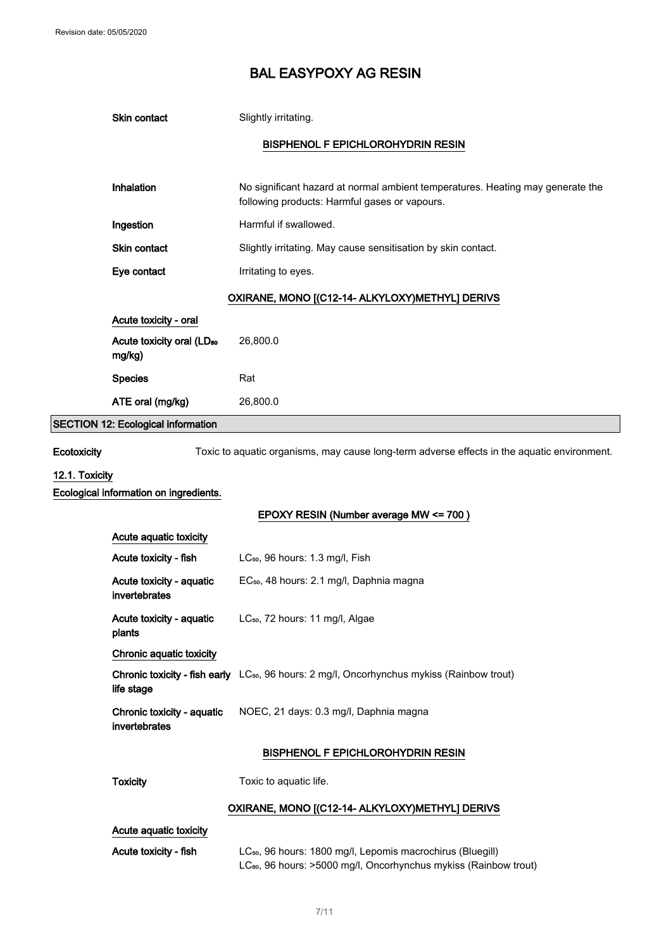|                                                          | Skin contact                                    | Slightly irritating.                                                                                                            |
|----------------------------------------------------------|-------------------------------------------------|---------------------------------------------------------------------------------------------------------------------------------|
|                                                          |                                                 | <b>BISPHENOL F EPICHLOROHYDRIN RESIN</b>                                                                                        |
|                                                          |                                                 |                                                                                                                                 |
|                                                          | Inhalation                                      | No significant hazard at normal ambient temperatures. Heating may generate the<br>following products: Harmful gases or vapours. |
|                                                          | Ingestion                                       | Harmful if swallowed.                                                                                                           |
|                                                          | Skin contact                                    | Slightly irritating. May cause sensitisation by skin contact.                                                                   |
|                                                          | Eye contact                                     | Irritating to eyes.                                                                                                             |
|                                                          |                                                 | OXIRANE, MONO [(C12-14- ALKYLOXY)METHYL] DERIVS                                                                                 |
|                                                          | Acute toxicity - oral                           |                                                                                                                                 |
|                                                          | Acute toxicity oral (LD <sub>50</sub><br>mg/kg) | 26,800.0                                                                                                                        |
|                                                          | <b>Species</b>                                  | Rat                                                                                                                             |
|                                                          | ATE oral (mg/kg)                                | 26,800.0                                                                                                                        |
|                                                          | <b>SECTION 12: Ecological information</b>       |                                                                                                                                 |
| Ecotoxicity                                              |                                                 | Toxic to aquatic organisms, may cause long-term adverse effects in the aquatic environment.                                     |
| 12.1. Toxicity<br>Ecological information on ingredients. |                                                 |                                                                                                                                 |
|                                                          |                                                 | EPOXY RESIN (Number average MW <= 700)                                                                                          |
|                                                          | Acute aquatic toxicity                          |                                                                                                                                 |
|                                                          | Acute toxicity - fish                           | LC <sub>50</sub> , 96 hours: 1.3 mg/l, Fish                                                                                     |
|                                                          | Acute toxicity - aquatic                        | EC <sub>50</sub> , 48 hours: 2.1 mg/l, Daphnia magna                                                                            |

### 12.1. Tox

| Acute aquatic toxicity                      |                                                                                                               |
|---------------------------------------------|---------------------------------------------------------------------------------------------------------------|
| Acute toxicity - fish                       | $LC_{50}$ , 96 hours: 1.3 mg/l, Fish                                                                          |
| Acute toxicity - aquatic<br>invertebrates   | EC <sub>50</sub> , 48 hours: 2.1 mg/l, Daphnia magna                                                          |
| Acute toxicity - aquatic<br>plants          | $LC_{50}$ , 72 hours: 11 mg/l, Algae                                                                          |
| Chronic aquatic toxicity                    |                                                                                                               |
| life stage                                  | <b>Chronic toxicity - fish early</b> LC <sub>50</sub> , 96 hours: 2 mg/l, Oncorhynchus mykiss (Rainbow trout) |
| Chronic toxicity - aquatic<br>invertebrates | NOEC, 21 days: 0.3 mg/l, Daphnia magna                                                                        |
|                                             | RISPHENOL E EDICHI OPOHYDPIN PESINI                                                                           |

#### BISPHENOL F EPICHLOROHYDRIN RESIN

Toxicity Toxic to aquatic life.

## OXIRANE, MONO [(C12-14- ALKYLOXY)METHYL] DERIVS

Acute aquatic toxicity

Acute toxicity - fish LC<sub>50</sub>, 96 hours: 1800 mg/l, Lepomis macrochirus (Bluegill) LC<sub>80</sub>, 96 hours: >5000 mg/l, Oncorhynchus mykiss (Rainbow trout)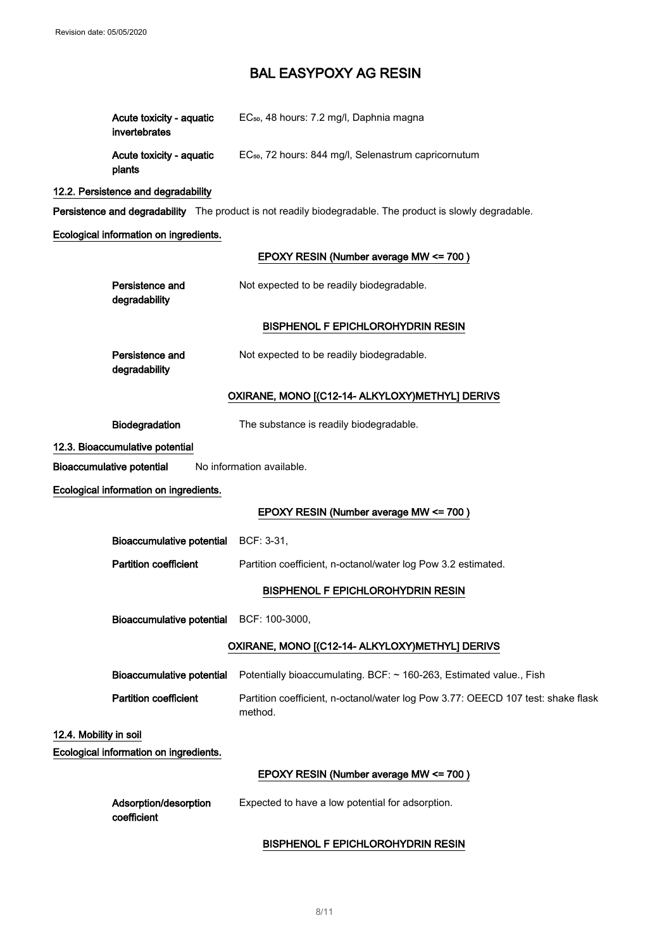| Acute toxicity - aguatic<br>invertebrates | EC <sub>50</sub> , 48 hours: 7.2 mg/l, Daphnia magna             |
|-------------------------------------------|------------------------------------------------------------------|
| Acute toxicity - aquatic<br>plants        | EC <sub>50</sub> , 72 hours: 844 mg/l, Selenastrum capricornutum |

## 12.2. Persistence and degradability

Persistence and degradability The product is not readily biodegradable. The product is slowly degradable.

Ecological information on ingredients.

### EPOXY RESIN (Number average MW <= 700 )

| Persistence and<br>degradability       | Not expected to be readily biodegradable.                                                      |
|----------------------------------------|------------------------------------------------------------------------------------------------|
|                                        | <b>BISPHENOL F EPICHLOROHYDRIN RESIN</b>                                                       |
| Persistence and<br>degradability       | Not expected to be readily biodegradable.                                                      |
|                                        | OXIRANE, MONO [(C12-14- ALKYLOXY) METHYL] DERIVS                                               |
| Biodegradation                         | The substance is readily biodegradable.                                                        |
| 12.3. Bioaccumulative potential        |                                                                                                |
| <b>Bioaccumulative potential</b>       | No information available.                                                                      |
| Ecological information on ingredients. |                                                                                                |
|                                        | EPOXY RESIN (Number average MW <= 700)                                                         |
| <b>Bioaccumulative potential</b>       | BCF: 3-31,                                                                                     |
| <b>Partition coefficient</b>           | Partition coefficient, n-octanol/water log Pow 3.2 estimated.                                  |
|                                        | <b>BISPHENOL F EPICHLOROHYDRIN RESIN</b>                                                       |
|                                        | Bioaccumulative potential BCF: 100-3000,                                                       |
|                                        | OXIRANE, MONO [(C12-14- ALKYLOXY) METHYL] DERIVS                                               |
|                                        | Bioaccumulative potential  Potentially bioaccumulating. BCF: ~ 160-263, Estimated value., Fish |
| <b>Partition coefficient</b>           | Partition coefficient, n-octanol/water log Pow 3.77: OEECD 107 test: shake flask<br>method.    |
| 12.4. Mobility in soil                 |                                                                                                |
| Ecological information on ingredients. |                                                                                                |
|                                        | EPOXY RESIN (Number average MW <= 700)                                                         |
| Adsorption/desorption<br>coefficient   | Expected to have a low potential for adsorption.                                               |

### BISPHENOL F EPICHLOROHYDRIN RESIN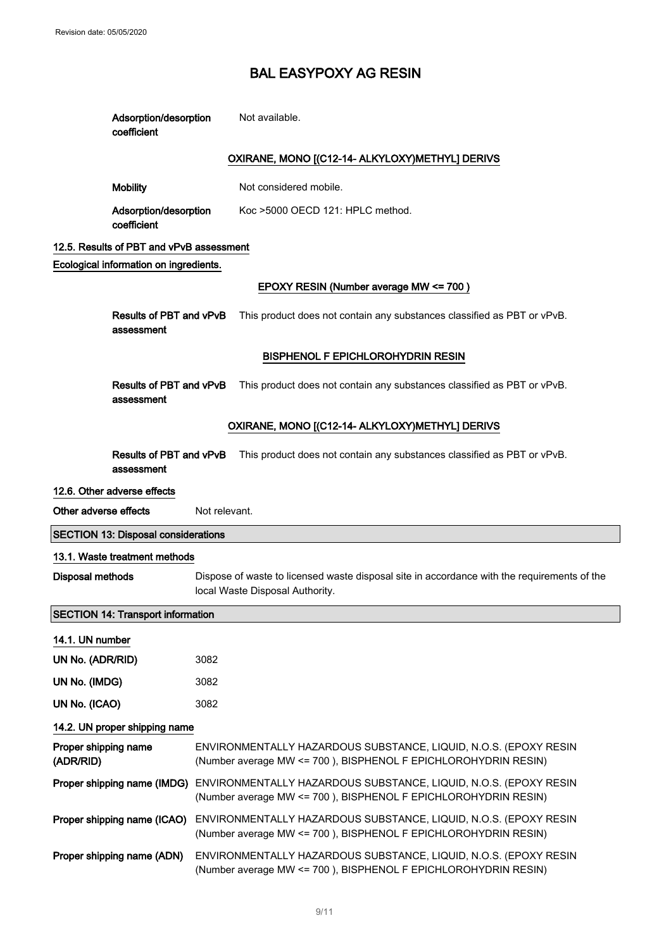Adsorption/desorption

# BAL EASYPOXY AG RESIN

Not available.

|                                   | coefficient                                  |                                                                                                                                    |  |
|-----------------------------------|----------------------------------------------|------------------------------------------------------------------------------------------------------------------------------------|--|
|                                   |                                              | OXIRANE, MONO [(C12-14- ALKYLOXY)METHYL] DERIVS                                                                                    |  |
|                                   | <b>Mobility</b>                              | Not considered mobile.                                                                                                             |  |
|                                   | Adsorption/desorption<br>coefficient         | Koc >5000 OECD 121: HPLC method.                                                                                                   |  |
|                                   | 12.5. Results of PBT and vPvB assessment     |                                                                                                                                    |  |
|                                   | Ecological information on ingredients.       |                                                                                                                                    |  |
|                                   |                                              | EPOXY RESIN (Number average MW <= 700)                                                                                             |  |
|                                   | <b>Results of PBT and vPvB</b><br>assessment | This product does not contain any substances classified as PBT or vPvB.                                                            |  |
|                                   |                                              | <b>BISPHENOL F EPICHLOROHYDRIN RESIN</b>                                                                                           |  |
|                                   | Results of PBT and vPvB<br>assessment        | This product does not contain any substances classified as PBT or vPvB.                                                            |  |
|                                   |                                              | OXIRANE, MONO [(C12-14- ALKYLOXY)METHYL] DERIVS                                                                                    |  |
|                                   | Results of PBT and vPvB<br>assessment        | This product does not contain any substances classified as PBT or vPvB.                                                            |  |
|                                   | 12.6. Other adverse effects                  |                                                                                                                                    |  |
| Other adverse effects             |                                              | Not relevant.                                                                                                                      |  |
|                                   | <b>SECTION 13: Disposal considerations</b>   |                                                                                                                                    |  |
|                                   | 13.1. Waste treatment methods                |                                                                                                                                    |  |
| <b>Disposal methods</b>           |                                              | Dispose of waste to licensed waste disposal site in accordance with the requirements of the<br>local Waste Disposal Authority.     |  |
|                                   | <b>SECTION 14: Transport information</b>     |                                                                                                                                    |  |
| 14.1. UN number                   |                                              |                                                                                                                                    |  |
| UN No. (ADR/RID)                  |                                              | 3082                                                                                                                               |  |
| UN No. (IMDG)                     |                                              |                                                                                                                                    |  |
|                                   |                                              | 3082                                                                                                                               |  |
| UN No. (ICAO)                     |                                              | 3082                                                                                                                               |  |
|                                   | 14.2. UN proper shipping name                |                                                                                                                                    |  |
| Proper shipping name<br>(ADR/RID) |                                              | ENVIRONMENTALLY HAZARDOUS SUBSTANCE, LIQUID, N.O.S. (EPOXY RESIN<br>(Number average MW <= 700), BISPHENOL F EPICHLOROHYDRIN RESIN) |  |
|                                   | Proper shipping name (IMDG)                  | ENVIRONMENTALLY HAZARDOUS SUBSTANCE, LIQUID, N.O.S. (EPOXY RESIN<br>(Number average MW <= 700), BISPHENOL F EPICHLOROHYDRIN RESIN) |  |
|                                   | Proper shipping name (ICAO)                  | ENVIRONMENTALLY HAZARDOUS SUBSTANCE, LIQUID, N.O.S. (EPOXY RESIN<br>(Number average MW <= 700), BISPHENOL F EPICHLOROHYDRIN RESIN) |  |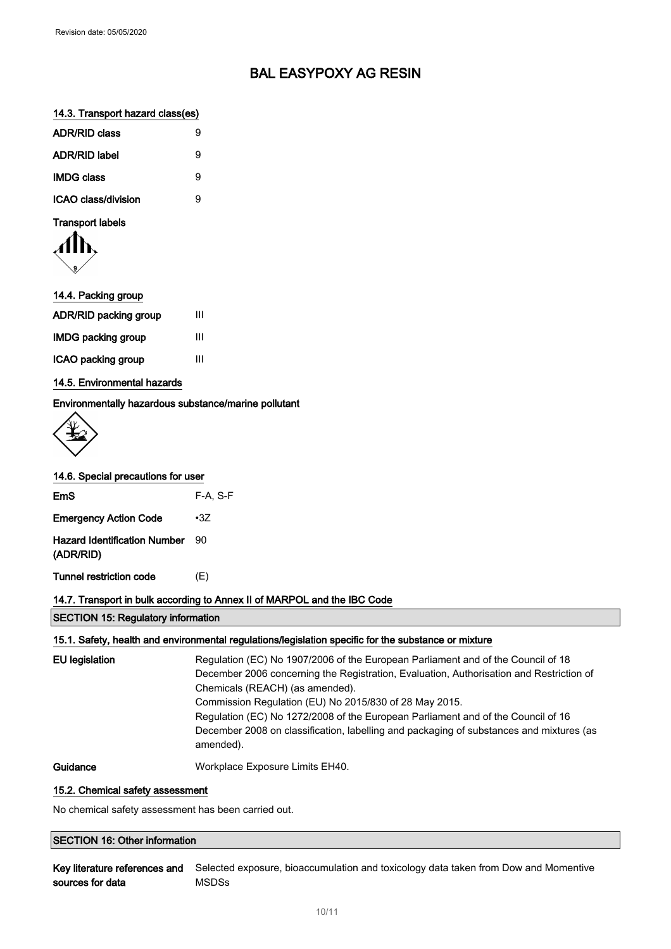### 14.3. Transport hazard class(es)

| <b>ADR/RID class</b>       | g |
|----------------------------|---|
| <b>ADR/RID label</b>       | я |
| <b>IMDG class</b>          | я |
| <b>ICAO class/division</b> |   |

Transport labels

$$
\langle \prod_{\mathfrak{p}}
$$

| 14.4. Packing group          |   |
|------------------------------|---|
| <b>ADR/RID packing group</b> | Ш |
| IMDG packing group           | Ш |
| ICAO packing group           | Ш |
|                              |   |

### 14.5. Environmental hazards

### Environmentally hazardous substance/marine pollutant

|  | 14.6. Special precautions for user |  |
|--|------------------------------------|--|
|  |                                    |  |

| <b>EmS</b>                                       | $F-A. S-F$ |
|--------------------------------------------------|------------|
| <b>Emergency Action Code</b>                     | $\cdot 37$ |
| <b>Hazard Identification Number</b><br>(ADR/RID) | 90         |
| Tunnel restriction code                          | (E)        |

### 14.7. Transport in bulk according to Annex II of MARPOL and the IBC Code

SECTION 15: Regulatory information

### 15.1. Safety, health and environmental regulations/legislation specific for the substance or mixture

| <b>EU</b> legislation | Regulation (EC) No 1907/2006 of the European Parliament and of the Council of 18<br>December 2006 concerning the Registration, Evaluation, Authorisation and Restriction of<br>Chemicals (REACH) (as amended).<br>Commission Regulation (EU) No 2015/830 of 28 May 2015.<br>Regulation (EC) No 1272/2008 of the European Parliament and of the Council of 16<br>December 2008 on classification, labelling and packaging of substances and mixtures (as<br>amended). |
|-----------------------|----------------------------------------------------------------------------------------------------------------------------------------------------------------------------------------------------------------------------------------------------------------------------------------------------------------------------------------------------------------------------------------------------------------------------------------------------------------------|
| Guidance              | Workplace Exposure Limits EH40.                                                                                                                                                                                                                                                                                                                                                                                                                                      |

#### 15.2. Chemical safety assessment

No chemical safety assessment has been carried out.

### SECTION 16: Other information

Key literature references and Selected exposure, bioaccumulation and toxicology data taken from Dow and Momentive sources for data MSDSs